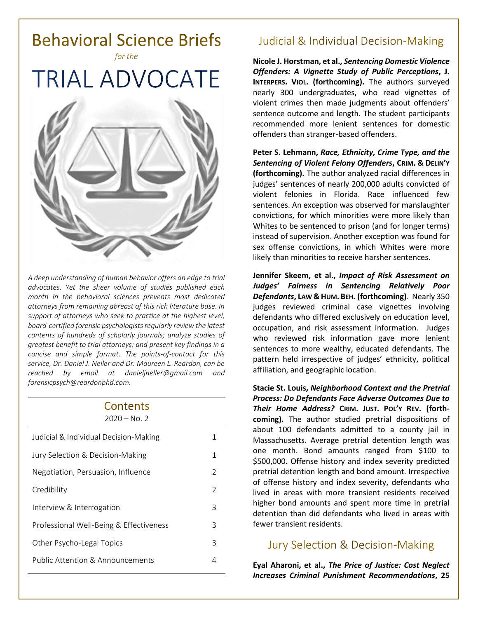

*A deep understanding of human behavior offers an edge to trial advocates. Yet the sheer volume of studies published each month in the behavioral sciences prevents most dedicated attorneys from remaining abreast of this rich literature base. In support of attorneys who seek to practice at the highest level, board-certified forensic psychologists regularly review the latest contents of hundreds of scholarly journals; analyze studies of greatest benefit to trial attorneys; and present key findings in a concise and simple format. The points-of-contact for this service, Dr. Daniel J. Neller and Dr. Maureen L. Reardon, can be reached by email at [danieljneller@gmail.com](mailto:danieljneller@gmail.com) and [forensicpsych@reardonphd.com.](mailto:forensicpsych@reardonphd.com)* 

#### Contents  $2020 - No. 2$

| Judicial & Individual Decision-Making   | 1             |
|-----------------------------------------|---------------|
| Jury Selection & Decision-Making        | 1             |
| Negotiation, Persuasion, Influence      | $\mathcal{P}$ |
| Credibility                             | 2             |
| Interview & Interrogation               | 3             |
| Professional Well-Being & Effectiveness | 3             |
| Other Psycho-Legal Topics               | 3             |
| Public Attention & Announcements        | 4             |
|                                         |               |

## **Judicial & Individual Decision-Making**

**Nicole J. Horstman, et al.,** *Sentencing Domestic Violence Offenders: A Vignette Study of Public Perceptions***, J. INTERPERS. VIOL. (forthcoming).** The authors surveyed nearly 300 undergraduates, who read vignettes of violent crimes then made judgments about offenders' sentence outcome and length. The student participants recommended more lenient sentences for domestic offenders than stranger-based offenders.

**Peter S. Lehmann,** *Race, Ethnicity, Crime Type, and the Sentencing of Violent Felony Offenders***, CRIM. & DELIN'Y (forthcoming).** The author analyzed racial differences in judges' sentences of nearly 200,000 adults convicted of violent felonies in Florida. Race influenced few sentences. An exception was observed for manslaughter convictions, for which minorities were more likely than Whites to be sentenced to prison (and for longer terms) instead of supervision. Another exception was found for sex offense convictions, in which Whites were more likely than minorities to receive harsher sentences.

**Jennifer Skeem, et al.,** *Impact of Risk Assessment on Judges' Fairness in Sentencing Relatively Poor Defendants***, LAW & HUM. BEH. (forthcoming)**. Nearly 350 judges reviewed criminal case vignettes involving defendants who differed exclusively on education level, occupation, and risk assessment information. Judges who reviewed risk information gave more lenient sentences to more wealthy, educated defendants. The pattern held irrespective of judges' ethnicity, political affiliation, and geographic location.

**Stacie St. Louis,** *Neighborhood Context and the Pretrial Process: Do Defendants Face Adverse Outcomes Due to Their Home Address?* **CRIM. JUST. POL'Y REV. (forthcoming).** The author studied pretrial dispositions of about 100 defendants admitted to a county jail in Massachusetts. Average pretrial detention length was one month. Bond amounts ranged from \$100 to \$500,000. Offense history and index severity predicted pretrial detention length and bond amount. Irrespective of offense history and index severity, defendants who lived in areas with more transient residents received higher bond amounts and spent more time in pretrial detention than did defendants who lived in areas with fewer transient residents.

## **Jury Selection & Decision-Making**

**Eyal Aharoni, et al.,** *The Price of Justice: Cost Neglect Increases Criminal Punishment Recommendations***, 25**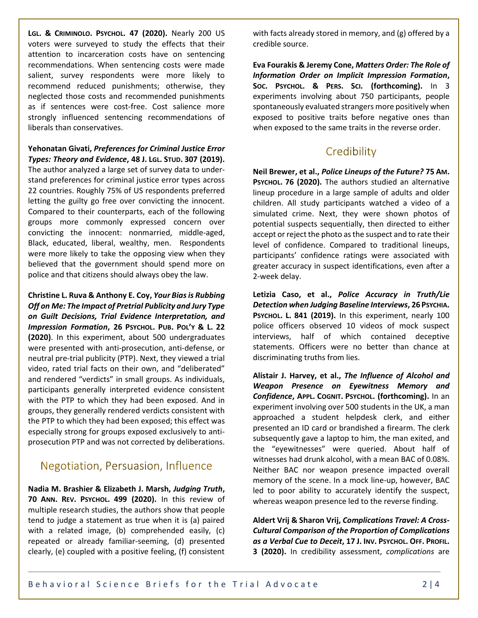**LGL. & CRIMINOLO. PSYCHOL. 47 (2020).** Nearly 200 US voters were surveyed to study the effects that their attention to incarceration costs have on sentencing recommendations. When sentencing costs were made salient, survey respondents were more likely to recommend reduced punishments; otherwise, they neglected those costs and recommended punishments as if sentences were cost-free. Cost salience more strongly influenced sentencing recommendations of liberals than conservatives.

#### **Yehonatan Givati,** *Preferences for Criminal Justice Error Types: Theory and Evidence***, 48 J. LGL. STUD. 307 (2019).**

The author analyzed a large set of survey data to understand preferences for criminal justice error types across 22 countries. Roughly 75% of US respondents preferred letting the guilty go free over convicting the innocent. Compared to their counterparts, each of the following groups more commonly expressed concern over convicting the innocent: nonmarried, middle-aged, Black, educated, liberal, wealthy, men. Respondents were more likely to take the opposing view when they believed that the government should spend more on police and that citizens should always obey the law.

**Christine L. Ruva & Anthony E. Coy,** *Your Bias is Rubbing Off on Me: The Impact of Pretrial Publicity and Jury Type on Guilt Decisions, Trial Evidence Interpretation, and Impression Formation***, 26 PSYCHOL. PUB. POL'Y & L. 22 (2020)**. In this experiment, about 500 undergraduates were presented with anti-prosecution, anti-defense, or neutral pre-trial publicity (PTP). Next, they viewed a trial video, rated trial facts on their own, and "deliberated" and rendered "verdicts" in small groups. As individuals, participants generally interpreted evidence consistent with the PTP to which they had been exposed. And in groups, they generally rendered verdicts consistent with the PTP to which they had been exposed; this effect was especially strong for groups exposed exclusively to antiprosecution PTP and was not corrected by deliberations.

## Negotiation, Persuasion, Influence

**Nadia M. Brashier & Elizabeth J. Marsh,** *Judging Truth***, 70 ANN. REV. PSYCHOL. 499 (2020).** In this review of multiple research studies, the authors show that people tend to judge a statement as true when it is (a) paired with a related image, (b) comprehended easily, (c) repeated or already familiar-seeming, (d) presented clearly, (e) coupled with a positive feeling, (f) consistent

with facts already stored in memory, and (g) offered by a credible source.

**Eva Fourakis & Jeremy Cone,** *Matters Order: The Role of Information Order on Implicit Impression Formation***, SOC. PSYCHOL. & PERS. SCI. (forthcoming).** In 3 experiments involving about 750 participants, people spontaneously evaluated strangers more positively when exposed to positive traits before negative ones than when exposed to the same traits in the reverse order.

## Credibility

**Neil Brewer, et al.,** *Police Lineups of the Future?* **75 AM. PSYCHOL. 76 (2020).** The authors studied an alternative lineup procedure in a large sample of adults and older children. All study participants watched a video of a simulated crime. Next, they were shown photos of potential suspects sequentially, then directed to either accept or reject the photo as the suspect and to rate their level of confidence. Compared to traditional lineups, participants' confidence ratings were associated with greater accuracy in suspect identifications, even after a 2-week delay.

**Letizia Caso, et al.,** *Police Accuracy in Truth/Lie Detection when Judging Baseline Interviews***, 26 PSYCHIA. PSYCHOL. L. 841 (2019).** In this experiment, nearly 100 police officers observed 10 videos of mock suspect interviews, half of which contained deceptive statements. Officers were no better than chance at discriminating truths from lies.

**Alistair J. Harvey, et al.,** *The Influence of Alcohol and Weapon Presence on Eyewitness Memory and Confidence***, APPL. COGNIT. PSYCHOL. (forthcoming).** In an experiment involving over 500 students in the UK, a man approached a student helpdesk clerk, and either presented an ID card or brandished a firearm. The clerk subsequently gave a laptop to him, the man exited, and the "eyewitnesses" were queried. About half of witnesses had drunk alcohol, with a mean BAC of 0.08%. Neither BAC nor weapon presence impacted overall memory of the scene. In a mock line-up, however, BAC led to poor ability to accurately identify the suspect, whereas weapon presence led to the reverse finding.

**Aldert Vrij & Sharon Vrij,** *Complications Travel: A Cross-Cultural Comparison of the Proportion of Complications as a Verbal Cue to Deceit***, 17 J. INV. PSYCHOL. OFF. PROFIL. 3 (2020).** In credibility assessment, *complications* are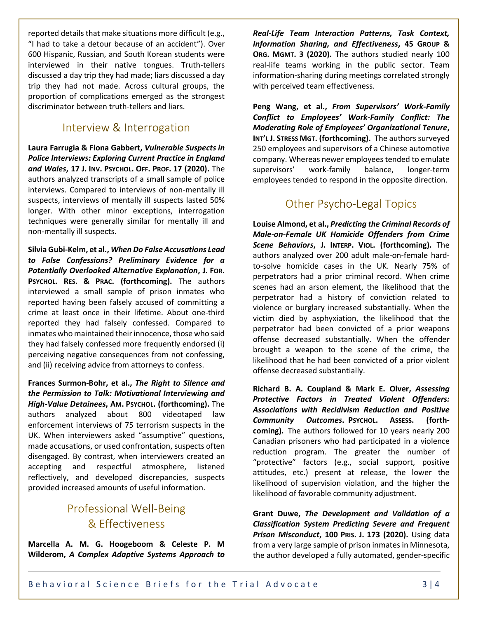reported details that make situations more difficult (e.g., "I had to take a detour because of an accident"). Over 600 Hispanic, Russian, and South Korean students were interviewed in their native tongues. Truth-tellers discussed a day trip they had made; liars discussed a day trip they had not made. Across cultural groups, the proportion of complications emerged as the strongest discriminator between truth-tellers and liars.

## Interview & Interrogation

**Laura Farrugia & Fiona Gabbert,** *Vulnerable Suspects in Police Interviews: Exploring Current Practice in England and Wales***, 17 J. INV. PSYCHOL. OFF. PROF. 17 (2020).** The authors analyzed transcripts of a small sample of police interviews. Compared to interviews of non-mentally ill suspects, interviews of mentally ill suspects lasted 50% longer. With other minor exceptions, interrogation techniques were generally similar for mentally ill and non-mentally ill suspects.

**Silvia Gubi-Kelm, et al.,** *When Do False Accusations Lead to False Confessions? Preliminary Evidence for a Potentially Overlooked Alternative Explanation***, J. FOR. PSYCHOL. RES. & PRAC. (forthcoming).** The authors interviewed a small sample of prison inmates who reported having been falsely accused of committing a crime at least once in their lifetime. About one-third reported they had falsely confessed. Compared to inmates who maintained their innocence, those who said they had falsely confessed more frequently endorsed (i) perceiving negative consequences from not confessing, and (ii) receiving advice from attorneys to confess.

**Frances Surmon-Bohr, et al.,** *The Right to Silence and the Permission to Talk: Motivational Interviewing and High-Value Detainees***, AM. PSYCHOL. (forthcoming).** The authors analyzed about 800 videotaped law enforcement interviews of 75 terrorism suspects in the UK. When interviewers asked "assumptive" questions, made accusations, or used confrontation, suspects often disengaged. By contrast, when interviewers created an accepting and respectful atmosphere, listened reflectively, and developed discrepancies, suspects provided increased amounts of useful information.

# **Professional Well-Being** & Effectiveness

**Marcella A. M. G. Hoogeboom & Celeste P. M Wilderom,** *A Complex Adaptive Systems Approach to*  *Real-Life Team Interaction Patterns, Task Context, Information Sharing, and Effectiveness***, 45 GROUP & ORG. MGMT. 3 (2020).** The authors studied nearly 100 real-life teams working in the public sector. Team information-sharing during meetings correlated strongly with perceived team effectiveness.

**Peng Wang, et al.,** *From Supervisors' Work-Family Conflict to Employees' Work-Family Conflict: The Moderating Role of Employees' Organizational Tenure***, INT'L J. STRESS MGT. (forthcoming).** The authors surveyed 250 employees and supervisors of a Chinese automotive company. Whereas newer employees tended to emulate supervisors' work-family balance, longer-term employees tended to respond in the opposite direction.

## **Other Psycho-Legal Topics**

**Louise Almond, et al.,** *Predicting the Criminal Records of Male-on-Female UK Homicide Offenders from Crime Scene Behaviors***, J. INTERP. VIOL. (forthcoming).** The authors analyzed over 200 adult male-on-female hardto-solve homicide cases in the UK. Nearly 75% of perpetrators had a prior criminal record. When crime scenes had an arson element, the likelihood that the perpetrator had a history of conviction related to violence or burglary increased substantially. When the victim died by asphyxiation, the likelihood that the perpetrator had been convicted of a prior weapons offense decreased substantially. When the offender brought a weapon to the scene of the crime, the likelihood that he had been convicted of a prior violent offense decreased substantially.

**Richard B. A. Coupland & Mark E. Olver,** *Assessing Protective Factors in Treated Violent Offenders: Associations with Recidivism Reduction and Positive Community Outcomes***. PSYCHOL. ASSESS. (forthcoming).** The authors followed for 10 years nearly 200 Canadian prisoners who had participated in a violence reduction program. The greater the number of "protective" factors (e.g., social support, positive attitudes, etc.) present at release, the lower the likelihood of supervision violation, and the higher the likelihood of favorable community adjustment.

**Grant Duwe,** *The Development and Validation of a Classification System Predicting Severe and Frequent Prison Misconduct***, 100 PRIS. J. 173 (2020).** Using data from a very large sample of prison inmates in Minnesota, the author developed a fully automated, gender-specific